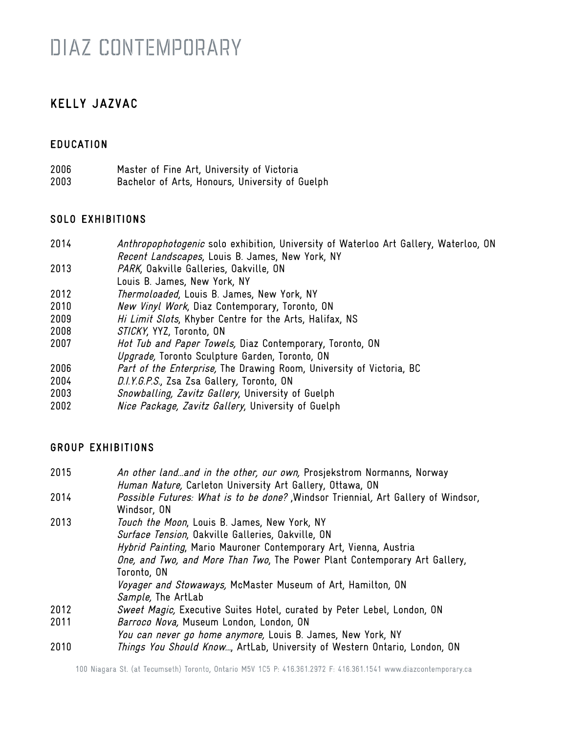### KELLY JAZVAC

### **EDUCATION**

2006 Master of Fine Art, University of Victoria 2003 Bachelor of Arts, Honours, University of Guelph

#### SOLO EXHIBITIONS

- 2014 Anthropophotogenic solo exhibition, University of Waterloo Art Gallery, Waterloo, ON Recent Landscapes, Louis B. James, New York, NY
- 2013 PARK, Oakville Galleries, Oakville, ON
- Louis B. James, New York, NY
- 2012 Thermoloaded, Louis B. James, New York, NY
- 2010 New Vinyl Work, Diaz Contemporary, Toronto, ON
- 2009 Hi Limit Slots, Khyber Centre for the Arts, Halifax, NS
- 2008 STICKY, YYZ, Toronto, ON
- 2007 Hot Tub and Paper Towels, Diaz Contemporary, Toronto, ON
- Upgrade, Toronto Sculpture Garden, Toronto, ON
- 2006 *Part of the Enterprise*, The Drawing Room, University of Victoria, BC
- 2004 D.I.Y.G.P.S., Zsa Zsa Gallery, Toronto, ON
- 2003 Snowballing, Zavitz Gallery, University of Guelph
- 2002 Nice Package, Zavitz Gallery, University of Guelph

#### GROUP EXHIBITIONS

| 2015 | An other landand in the other, our own, Prosjekstrom Normanns, Norway<br>Human Nature, Carleton University Art Gallery, Ottawa, ON |
|------|------------------------------------------------------------------------------------------------------------------------------------|
| 2014 | Possible Futures: What is to be done? Windsor Triennial, Art Gallery of Windsor,<br>Windsor, ON                                    |
| 2013 | Touch the Moon, Louis B. James, New York, NY                                                                                       |
|      | Surface Tension, Oakville Galleries, Oakville, ON                                                                                  |
|      | Hybrid Painting, Mario Mauroner Contemporary Art, Vienna, Austria                                                                  |
|      | One, and Two, and More Than Two, The Power Plant Contemporary Art Gallery,                                                         |
|      | Toronto, ON                                                                                                                        |
|      | Voyager and Stowaways, McMaster Museum of Art, Hamilton, ON                                                                        |
|      | Sample, The ArtLab                                                                                                                 |
| 2012 | Sweet Magic, Executive Suites Hotel, curated by Peter Lebel, London, ON                                                            |
| 2011 | Barroco Nova, Museum London, London, ON                                                                                            |
|      | You can never go home anymore, Louis B. James, New York, NY                                                                        |
| 2010 | Things You Should Know, ArtLab, University of Western Ontario, London, ON                                                          |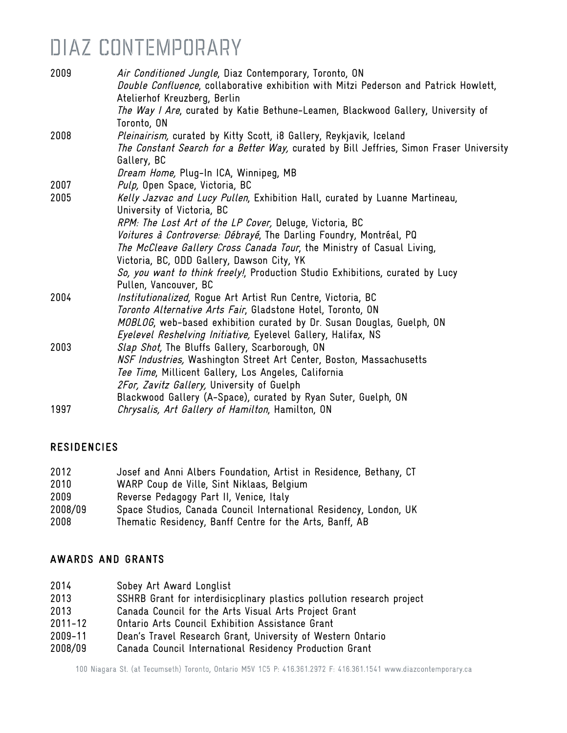| 2009 | Air Conditioned Jungle, Diaz Contemporary, Toronto, ON<br>Double Confluence, collaborative exhibition with Mitzi Pederson and Patrick Howlett,<br>Atelierhof Kreuzberg, Berlin |
|------|--------------------------------------------------------------------------------------------------------------------------------------------------------------------------------|
|      | The Way I Are, curated by Katie Bethune-Leamen, Blackwood Gallery, University of<br>Toronto, ON                                                                                |
| 2008 | Pleinairism, curated by Kitty Scott, i8 Gallery, Reykjavik, Iceland<br>The Constant Search for a Better Way, curated by Bill Jeffries, Simon Fraser University<br>Gallery, BC  |
|      | Dream Home, Plug-In ICA, Winnipeg, MB                                                                                                                                          |
| 2007 | Pulp, Open Space, Victoria, BC                                                                                                                                                 |
| 2005 | Kelly Jazvac and Lucy Pullen, Exhibition Hall, curated by Luanne Martineau,<br>University of Victoria, BC                                                                      |
|      | RPM: The Lost Art of the LP Cover, Deluge, Victoria, BC                                                                                                                        |
|      | Voitures à Controverse: Débrayé, The Darling Foundry, Montréal, PQ                                                                                                             |
|      | The McCleave Gallery Cross Canada Tour, the Ministry of Casual Living,                                                                                                         |
|      | Victoria, BC, ODD Gallery, Dawson City, YK                                                                                                                                     |
|      | So, you want to think freely!, Production Studio Exhibitions, curated by Lucy                                                                                                  |
|      | Pullen, Vancouver, BC                                                                                                                                                          |
| 2004 | Institutionalized, Rogue Art Artist Run Centre, Victoria, BC                                                                                                                   |
|      | Toronto Alternative Arts Fair, Gladstone Hotel, Toronto, ON                                                                                                                    |
|      | MOBLOG, web-based exhibition curated by Dr. Susan Douglas, Guelph, ON                                                                                                          |
|      | Eyelevel Reshelving Initiative, Eyelevel Gallery, Halifax, NS                                                                                                                  |
| 2003 | Slap Shot, The Bluffs Gallery, Scarborough, ON                                                                                                                                 |
|      | NSF Industries, Washington Street Art Center, Boston, Massachusetts                                                                                                            |
|      | Tee Time, Millicent Gallery, Los Angeles, California                                                                                                                           |
|      | 2For, Zavitz Gallery, University of Guelph                                                                                                                                     |
|      | Blackwood Gallery (A-Space), curated by Ryan Suter, Guelph, ON                                                                                                                 |
| 1997 | Chrysalis, Art Gallery of Hamilton, Hamilton, ON                                                                                                                               |

#### **RESIDENCIES**

| 2012    | Josef and Anni Albers Foundation, Artist in Residence, Bethany, CT |
|---------|--------------------------------------------------------------------|
| 2010    | WARP Coup de Ville, Sint Niklaas, Belgium                          |
| 2009    | Reverse Pedagogy Part II, Venice, Italy                            |
| 2008/09 | Space Studios, Canada Council International Residency, London, UK  |
| 2008    | Thematic Residency, Banff Centre for the Arts, Banff, AB           |

#### AWARDS AND GRANTS

| 2014 | Sobey Art Award Longlist |  |
|------|--------------------------|--|
|------|--------------------------|--|

- 2013 SSHRB Grant for interdisicplinary plastics pollution research project
- 2013 Canada Council for the Arts Visual Arts Project Grant
- 2011-12 Ontario Arts Council Exhibition Assistance Grant
- 2009-11 Dean's Travel Research Grant, University of Western Ontario
- 2008/09 Canada Council International Residency Production Grant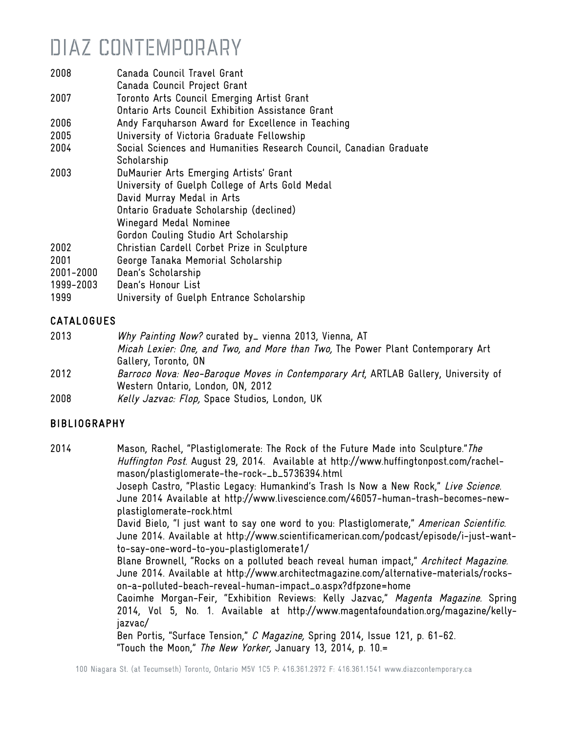- 2008 Canada Council Travel Grant
- Canada Council Project Grant
- 2007 Toronto Arts Council Emerging Artist Grant
- Ontario Arts Council Exhibition Assistance Grant
- 2006 Andy Farquharson Award for Excellence in Teaching
- 2005 University of Victoria Graduate Fellowship
- 2004 Social Sciences and Humanities Research Council, Canadian Graduate Scholarship
- 2003 DuMaurier Arts Emerging Artists' Grant University of Guelph College of Arts Gold Medal David Murray Medal in Arts Ontario Graduate Scholarship (declined) Winegard Medal Nominee Gordon Couling Studio Art Scholarship 2002 Christian Cardell Corbet Prize in Sculpture 2001 George Tanaka Memorial Scholarship 2001-2000 Dean's Scholarship 1999-2003 Dean's Honour List
- 1999 University of Guelph Entrance Scholarship

### CATALOGUES

- 2013 Why Painting Now? curated by\_ vienna 2013, Vienna, AT Micah Lexier: One, and Two, and More than Two, The Power Plant Contemporary Art Gallery, Toronto, ON
- 2012 Barroco Nova: Neo-Baroque Moves in Contemporary Art, ARTLAB Gallery, University of Western Ontario, London, ON, 2012
- 2008 Kelly Jazvac: Flop, Space Studios, London, UK

### BIBLIOGRAPHY

2014 Mason, Rachel, "Plastiglomerate: The Rock of the Future Made into Sculpture." The Huffington Post. August 29, 2014. Available at http://www.huffingtonpost.com/rachelmason/plastiglomerate-the-rock-\_b\_5736394.html Joseph Castro, "Plastic Legacy: Humankind's Trash Is Now a New Rock," Live Science. June 2014 Available at http://www.livescience.com/46057-human-trash-becomes-newplastiglomerate-rock.html David Bielo, "I just want to say one word to you: Plastiglomerate," American Scientific. June 2014. Available at http://www.scientificamerican.com/podcast/episode/i-just-wantto-say-one-word-to-you-plastiglomerate1/ Blane Brownell, "Rocks on a polluted beach reveal human impact," Architect Magazine. June 2014. Available at http://www.architectmagazine.com/alternative-materials/rockson-a-polluted-beach-reveal-human-impact\_o.aspx?dfpzone=home Caoimhe Morgan-Feir, "Exhibition Reviews: Kelly Jazvac," Magenta Magazine. Spring 2014, Vol 5, No. 1. Available at http://www.magentafoundation.org/magazine/kellyjazvac/ Ben Portis, "Surface Tension," C Magazine, Spring 2014, Issue 121, p. 61-62.

"Touch the Moon," The New Yorker, January 13, 2014, p. 10.=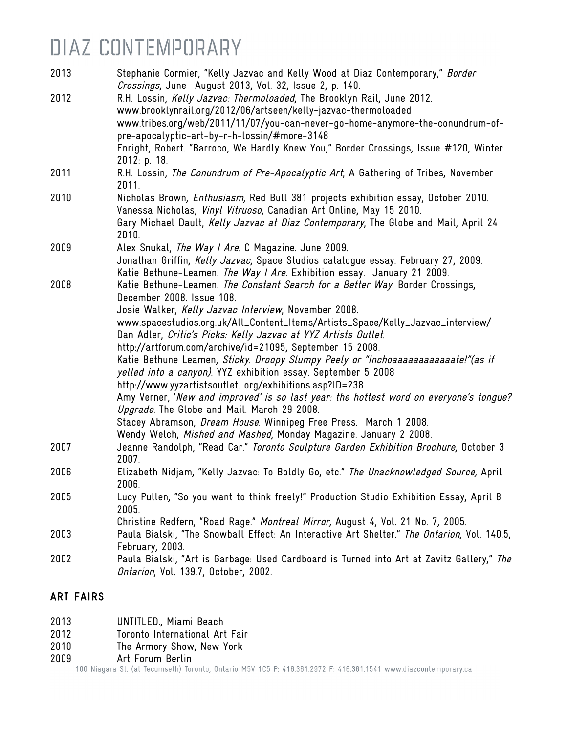| 2013 | Stephanie Cormier, "Kelly Jazvac and Kelly Wood at Diaz Contemporary," Border<br>Crossings, June- August 2013, Vol. 32, Issue 2, p. 140.                     |
|------|--------------------------------------------------------------------------------------------------------------------------------------------------------------|
| 2012 | R.H. Lossin, Kelly Jazvac: Thermoloaded, The Brooklyn Rail, June 2012.                                                                                       |
|      | www.brooklynrail.org/2012/06/artseen/kelly-jazvac-thermoloaded                                                                                               |
|      | www.tribes.org/web/2011/11/07/you-can-never-go-home-anymore-the-conundrum-of-                                                                                |
|      | pre-apocalyptic-art-by-r-h-lossin/#more-3148                                                                                                                 |
|      | Enright, Robert. "Barroco, We Hardly Knew You," Border Crossings, Issue #120, Winter<br>2012: p. 18.                                                         |
| 2011 | R.H. Lossin, The Conundrum of Pre-Apocalyptic Art, A Gathering of Tribes, November<br>2011.                                                                  |
| 2010 | Nicholas Brown, Enthusiasm, Red Bull 381 projects exhibition essay, October 2010.<br>Vanessa Nicholas, Vinyl Vitruoso, Canadian Art Online, May 15 2010.     |
|      | Gary Michael Dault, Kelly Jazvac at Diaz Contemporary, The Globe and Mail, April 24<br>2010.                                                                 |
| 2009 | Alex Snukal, The Way I Are. C Magazine. June 2009.                                                                                                           |
|      | Jonathan Griffin, Kelly Jazvac, Space Studios catalogue essay. February 27, 2009.<br>Katie Bethune-Leamen. The Way I Are. Exhibition essay. January 21 2009. |
| 2008 | Katie Bethune-Leamen. The Constant Search for a Better Way. Border Crossings,<br>December 2008. Issue 108.                                                   |
|      | Josie Walker, Kelly Jazvac Interview, November 2008.                                                                                                         |
|      | www.spacestudios.org.uk/All_Content_Items/Artists_Space/Kelly_Jazvac_interview/                                                                              |
|      | Dan Adler, Critic's Picks: Kelly Jazvac at YYZ Artists Outlet.                                                                                               |
|      | http://artforum.com/archive/id=21095, September 15 2008.                                                                                                     |
|      | Katie Bethune Leamen, Sticky. Droopy Slumpy Peely or "Inchoaaaaaaaaaaaaate!" (as if<br>yelled into a canyon). YYZ exhibition essay. September 5 2008         |
|      | http://www.yyzartistsoutlet. org/exhibitions.asp?ID=238                                                                                                      |
|      | Amy Verner, 'New and improved' is so last year: the hottest word on everyone's tongue?<br>Upgrade. The Globe and Mail. March 29 2008.                        |
|      | Stacey Abramson, Dream House. Winnipeg Free Press. March 1 2008.                                                                                             |
|      | Wendy Welch, Mished and Mashed, Monday Magazine. January 2 2008.                                                                                             |
| 2007 | Jeanne Randolph, "Read Car." Toronto Sculpture Garden Exhibition Brochure, October 3<br>2007.                                                                |
| 2006 | Elizabeth Nidjam, "Kelly Jazvac: To Boldly Go, etc." The Unacknowledged Source, April<br>2006.                                                               |
| 2005 | Lucy Pullen, "So you want to think freely!" Production Studio Exhibition Essay, April 8<br>2005.                                                             |
|      | Christine Redfern, "Road Rage." Montreal Mirror, August 4, Vol. 21 No. 7, 2005.                                                                              |
| 2003 | Paula Bialski, "The Snowball Effect: An Interactive Art Shelter." The Ontarion, Vol. 140.5,<br>February, 2003.                                               |
| 2002 | Paula Bialski, "Art is Garbage: Used Cardboard is Turned into Art at Zavitz Gallery," The<br>Ontarion, Vol. 139.7, October, 2002.                            |
|      |                                                                                                                                                              |

### ART FAIRS

- 2013 UNTITLED., Miami Beach
- 2012 Toronto International Art Fair
- 2010 The Armory Show, New York
- 

2009 **Art Forum Berlin**<br>100 Niagara St. (at Tecumseth) Toronto, Ontario M5V 1C5 P: 416.361.2972 F: 416.361.1541 www.diazcontemporary.ca